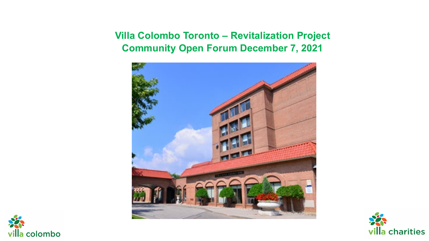### **Villa Colombo Toronto – Revitalization Project Community Open Forum December 7, 2021**





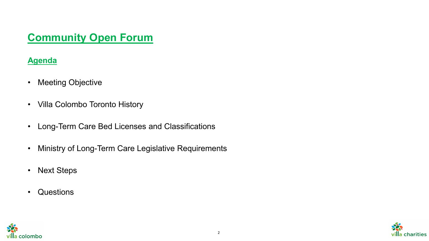### **Agenda**

- Meeting Objective
- Villa Colombo Toronto History
- Long-Term Care Bed Licenses and Classifications
- Ministry of Long-Term Care Legislative Requirements
- Next Steps
- Questions



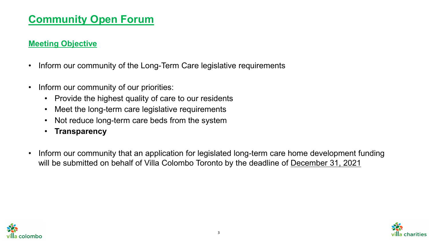#### **Meeting Objective**

- Inform our community of the Long-Term Care legislative requirements
- Inform our community of our priorities:
	- Provide the highest quality of care to our residents
	- Meet the long-term care legislative requirements
	- Not reduce long-term care beds from the system
	- **Transparency**
- Inform our community that an application for legislated long-term care home development funding will be submitted on behalf of Villa Colombo Toronto by the deadline of December 31, 2021



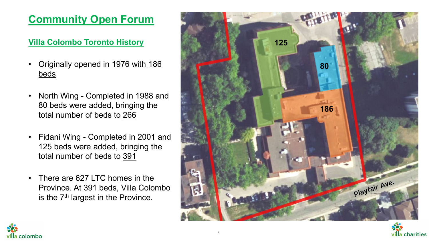### **Villa Colombo Toronto History**

- Originally opened in 1976 with 186 beds
- North Wing Completed in 1988 and 80 beds were added, bringing the total number of beds to 266
- Fidani Wing Completed in 2001 and 125 beds were added, bringing the total number of beds to 391
- There are 627 LTC homes in the Province. At 391 beds, Villa Colombo is the 7<sup>th</sup> largest in the Province.



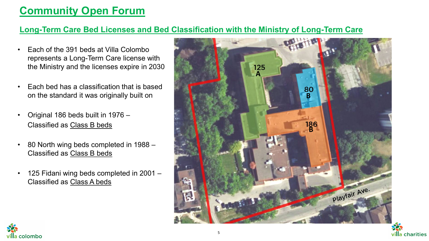### **Long-Term Care Bed Licenses and Bed Classification with the Ministry of Long-Term Care**

- Each of the 391 beds at Villa Colombo represents a Long-Term Care license with the Ministry and the licenses expire in 2030
- Each bed has a classification that is based on the standard it was originally built on
- Original 186 beds built in 1976 Classified as Class B beds
- 80 North wing beds completed in 1988 Classified as Class B beds
- 125 Fidani wing beds completed in 2001 Classified as Class A beds



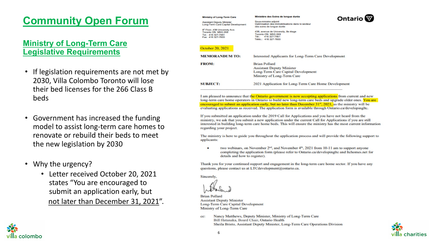#### **Ministry of Long-Term Care Legislative Requirements**

- If legislation requirements are not met by 2030, Villa Colombo Toronto will lose their bed licenses for the 266 Class B beds
- Government has increased the funding model to assist long-term care homes to renovate or rebuild their beds to meet the new legislation by 2030
- Why the urgency?
	- Letter received October 20, 2021 states "You are encouraged to submit an application early, but not later than December 31, 2021".

| Ministère des Soins de longue durée                                                                       | Ontario <sup></sup>                                                                                                                                    |
|-----------------------------------------------------------------------------------------------------------|--------------------------------------------------------------------------------------------------------------------------------------------------------|
| Sous-ministre adjoint<br>Optimisation des immobilisations dans le secteur<br>des soins de longue durée    |                                                                                                                                                        |
| 438, avenue de University, 8e étage<br>Toronto ON M5G 2KB<br>416 327-7461<br>Tél.:<br>Téléc: 416 327-7603 |                                                                                                                                                        |
|                                                                                                           |                                                                                                                                                        |
|                                                                                                           |                                                                                                                                                        |
|                                                                                                           |                                                                                                                                                        |
|                                                                                                           |                                                                                                                                                        |
| Ministry of Long-Term Care                                                                                |                                                                                                                                                        |
| 2021 Application for Long-Term Care Home Development                                                      |                                                                                                                                                        |
|                                                                                                           | Interested Applicants for Long-Term Care Development<br><b>Brian Pollard</b><br><b>Assistant Deputy Minister</b><br>Long-Term Care Capital Development |

I am pleased to announce that the Ontario government is now accepting applications from current and new long-term care home operators in Ontario to build new long-term care beds and upgrade older ones. You are encouraged to submit an application early, but no later than December  $31<sup>st</sup>$ , 2021, as the ministry will be evaluating applications as received. The application form is available through Ontario.ca/developingltc.

If you submitted an application under the 2019 Call for Applications and you have not heard from the ministry, we ask that you submit a new application under the current Call for Applications if you are still interested in building long-term care home beds. This will ensure the ministry has the most current information regarding your project.

The ministry is here to guide you throughout the application process and will provide the following support to applicants:

two webinars, on November  $2<sup>nd</sup>$ , and November  $4<sup>th</sup>$ , 2021 from 10-11 am to support anyone completing the application form (please refer to Ontario.ca/developingltc and ltchomes.net for details and how to register).

Thank you for your continued support and engagement in the long-term care home sector. If you have any questions, please contact us at LTCdevelopment@ontario.ca.

Sincerely,

**Brian Pollard Assistant Deputy Minister** Long-Term Care Capital Development Ministry of Long-Term Care

Nancy Matthews, Deputy Minister, Ministry of Long-Term Care cc: Bill Hatanaka, Board Chair, Ontario Health Sheila Bristo, Assistant Deputy Minister, Long-Term Care Operations Division



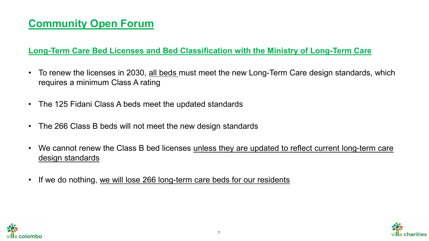#### **Long-Term Care Bed Licenses and Bed Classification with the Ministry of Long-Term Care**

- To renew the licenses in 2030, all beds must meet the new Long-Term Care design standards, which requires a minimum Class A rating
- The 125 Fidani Class A beds meet the updated standards
- The 266 Class B beds will not meet the new design standards
- We cannot renew the Class B bed licenses unless they are updated to reflect current long-term care design standards
- If we do nothing, we will lose 266 long-term care beds for our residents



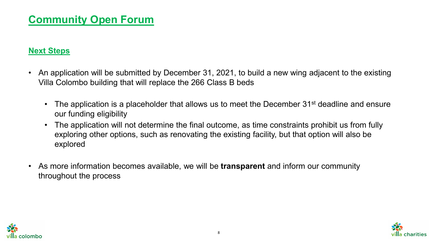#### **Next Steps**

- An application will be submitted by December 31, 2021, to build a new wing adjacent to the existing Villa Colombo building that will replace the 266 Class B beds
	- The application is a placeholder that allows us to meet the December 31<sup>st</sup> deadline and ensure our funding eligibility
	- The application will not determine the final outcome, as time constraints prohibit us from fully exploring other options, such as renovating the existing facility, but that option will also be explored
- As more information becomes available, we will be **transparent** and inform our community throughout the process